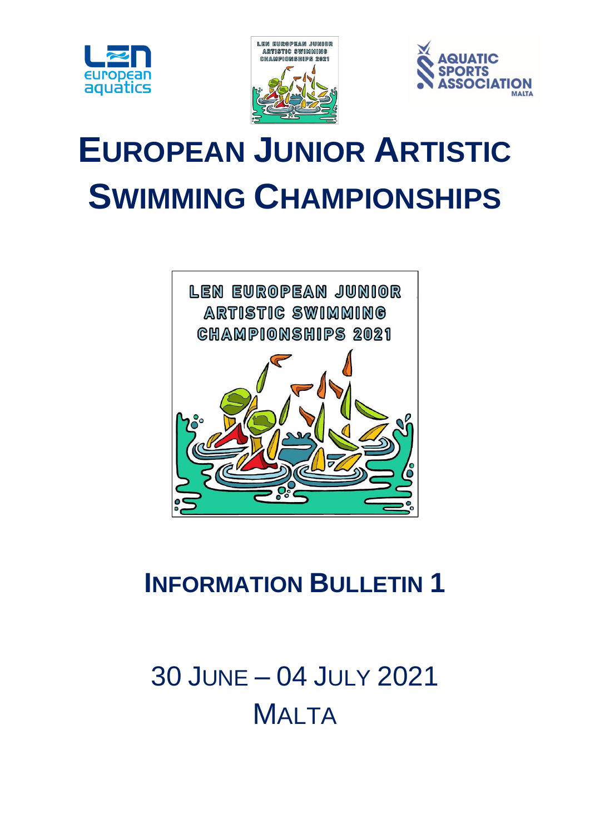





# **EUROPEAN JUNIOR ARTISTIC SWIMMING CHAMPIONSHIPS**



# **INFORMATION BULLETIN 1**

# 30 JUNE – 04 JULY 2021 **MALTA**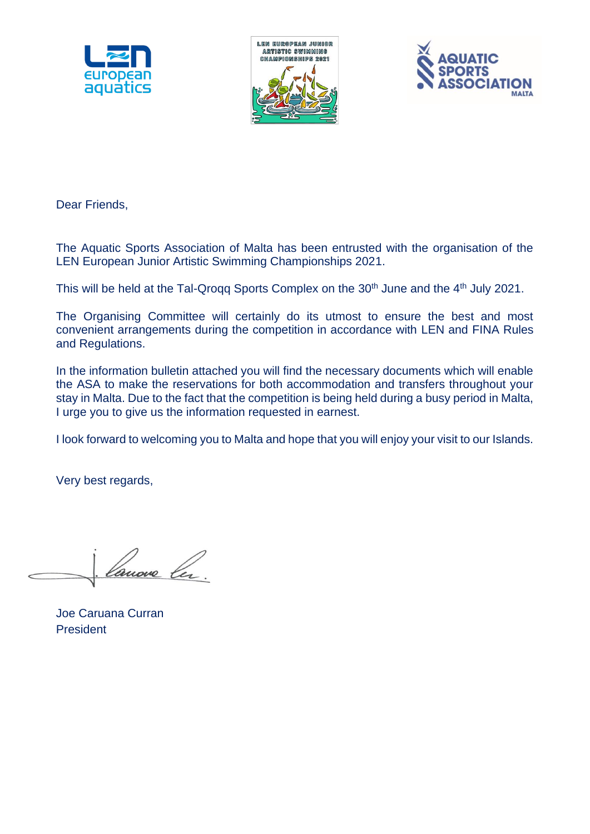





Dear Friends,

The Aquatic Sports Association of Malta has been entrusted with the organisation of the LEN European Junior Artistic Swimming Championships 2021.

This will be held at the Tal-Qrogg Sports Complex on the 30<sup>th</sup> June and the 4<sup>th</sup> July 2021.

The Organising Committee will certainly do its utmost to ensure the best and most convenient arrangements during the competition in accordance with LEN and FINA Rules and Regulations.

In the information bulletin attached you will find the necessary documents which will enable the ASA to make the reservations for both accommodation and transfers throughout your stay in Malta. Due to the fact that the competition is being held during a busy period in Malta, I urge you to give us the information requested in earnest.

I look forward to welcoming you to Malta and hope that you will enjoy your visit to our Islands.

Very best regards,

Joe Caruana Curran President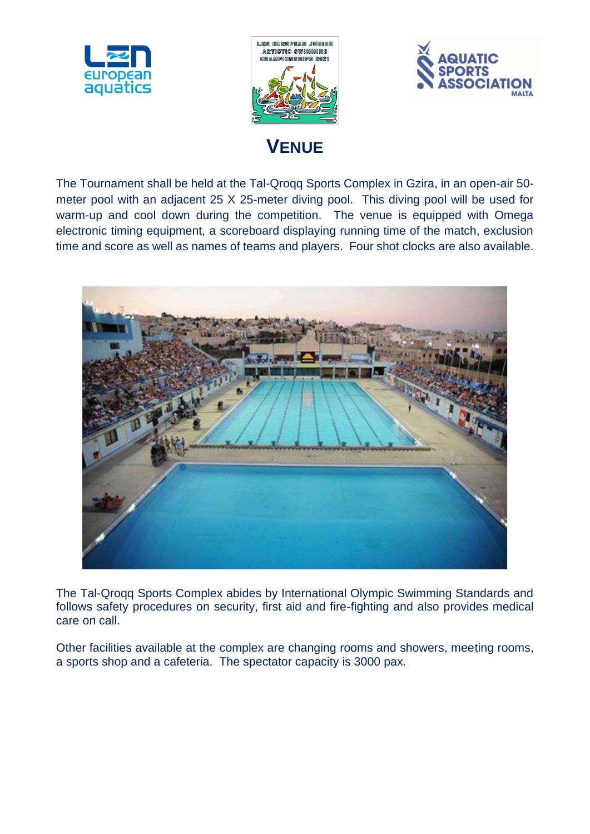





### **VENUE**

The Tournament shall be held at the Tal-Qroqq Sports Complex in Gzira, in an open-air 50 meter pool with an adjacent 25 X 25-meter diving pool. This diving pool will be used for warm-up and cool down during the competition. The venue is equipped with Omega electronic timing equipment, a scoreboard displaying running time of the match, exclusion time and score as well as names of teams and players. Four shot clocks are also available.



The Tal-Qroqq Sports Complex abides by International Olympic Swimming Standards and follows safety procedures on security, first aid and fire-fighting and also provides medical care on call.

Other facilities available at the complex are changing rooms and showers, meeting rooms, a sports shop and a cafeteria. The spectator capacity is 3000 pax.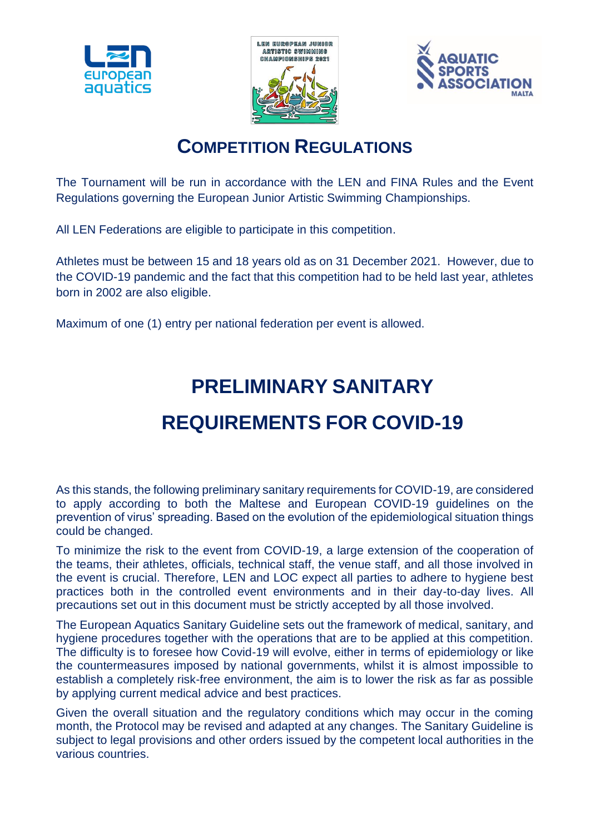





### **COMPETITION REGULATIONS**

The Tournament will be run in accordance with the LEN and FINA Rules and the Event Regulations governing the European Junior Artistic Swimming Championships.

All LEN Federations are eligible to participate in this competition.

Athletes must be between 15 and 18 years old as on 31 December 2021. However, due to the COVID-19 pandemic and the fact that this competition had to be held last year, athletes born in 2002 are also eligible.

Maximum of one (1) entry per national federation per event is allowed.

# **PRELIMINARY SANITARY**

# **REQUIREMENTS FOR COVID-19**

As this stands, the following preliminary sanitary requirements for COVID-19, are considered to apply according to both the Maltese and European COVID-19 guidelines on the prevention of virus' spreading. Based on the evolution of the epidemiological situation things could be changed.

To minimize the risk to the event from COVID-19, a large extension of the cooperation of the teams, their athletes, officials, technical staff, the venue staff, and all those involved in the event is crucial. Therefore, LEN and LOC expect all parties to adhere to hygiene best practices both in the controlled event environments and in their day-to-day lives. All precautions set out in this document must be strictly accepted by all those involved.

The European Aquatics Sanitary Guideline sets out the framework of medical, sanitary, and hygiene procedures together with the operations that are to be applied at this competition. The difficulty is to foresee how Covid-19 will evolve, either in terms of epidemiology or like the countermeasures imposed by national governments, whilst it is almost impossible to establish a completely risk-free environment, the aim is to lower the risk as far as possible by applying current medical advice and best practices.

Given the overall situation and the regulatory conditions which may occur in the coming month, the Protocol may be revised and adapted at any changes. The Sanitary Guideline is subject to legal provisions and other orders issued by the competent local authorities in the various countries.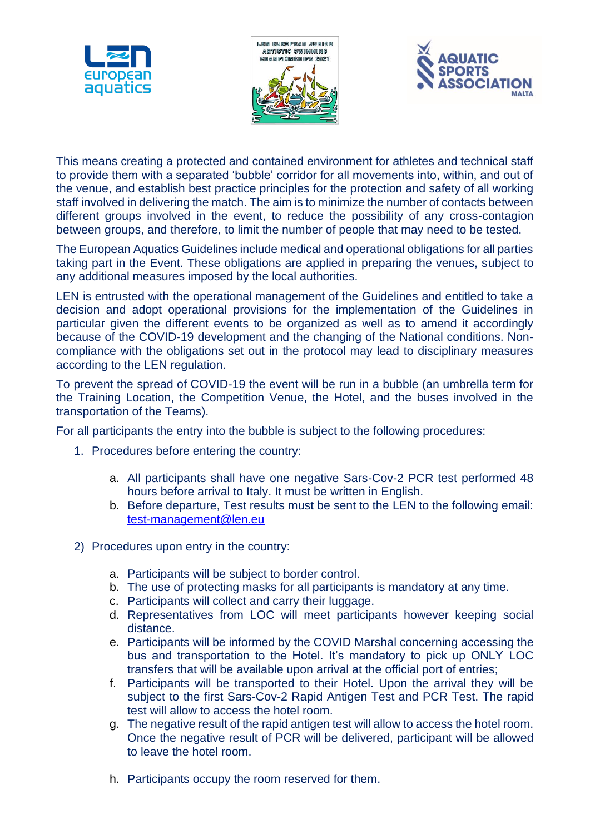





This means creating a protected and contained environment for athletes and technical staff to provide them with a separated 'bubble' corridor for all movements into, within, and out of the venue, and establish best practice principles for the protection and safety of all working staff involved in delivering the match. The aim is to minimize the number of contacts between different groups involved in the event, to reduce the possibility of any cross-contagion between groups, and therefore, to limit the number of people that may need to be tested.

The European Aquatics Guidelines include medical and operational obligations for all parties taking part in the Event. These obligations are applied in preparing the venues, subject to any additional measures imposed by the local authorities.

LEN is entrusted with the operational management of the Guidelines and entitled to take a decision and adopt operational provisions for the implementation of the Guidelines in particular given the different events to be organized as well as to amend it accordingly because of the COVID-19 development and the changing of the National conditions. Noncompliance with the obligations set out in the protocol may lead to disciplinary measures according to the LEN regulation.

To prevent the spread of COVID-19 the event will be run in a bubble (an umbrella term for the Training Location, the Competition Venue, the Hotel, and the buses involved in the transportation of the Teams).

For all participants the entry into the bubble is subject to the following procedures:

- 1. Procedures before entering the country:
	- a. All participants shall have one negative Sars-Cov-2 PCR test performed 48 hours before arrival to Italy. It must be written in English.
	- b. Before departure, Test results must be sent to the LEN to the following email: [test-management@len.eu](mailto:test-management@len.eu)
- 2) Procedures upon entry in the country:
	- a. Participants will be subject to border control.
	- b. The use of protecting masks for all participants is mandatory at any time.
	- c. Participants will collect and carry their luggage.
	- d. Representatives from LOC will meet participants however keeping social distance.
	- e. Participants will be informed by the COVID Marshal concerning accessing the bus and transportation to the Hotel. It's mandatory to pick up ONLY LOC transfers that will be available upon arrival at the official port of entries;
	- f. Participants will be transported to their Hotel. Upon the arrival they will be subject to the first Sars-Cov-2 Rapid Antigen Test and PCR Test. The rapid test will allow to access the hotel room.
	- g. The negative result of the rapid antigen test will allow to access the hotel room. Once the negative result of PCR will be delivered, participant will be allowed to leave the hotel room.
	- h. Participants occupy the room reserved for them.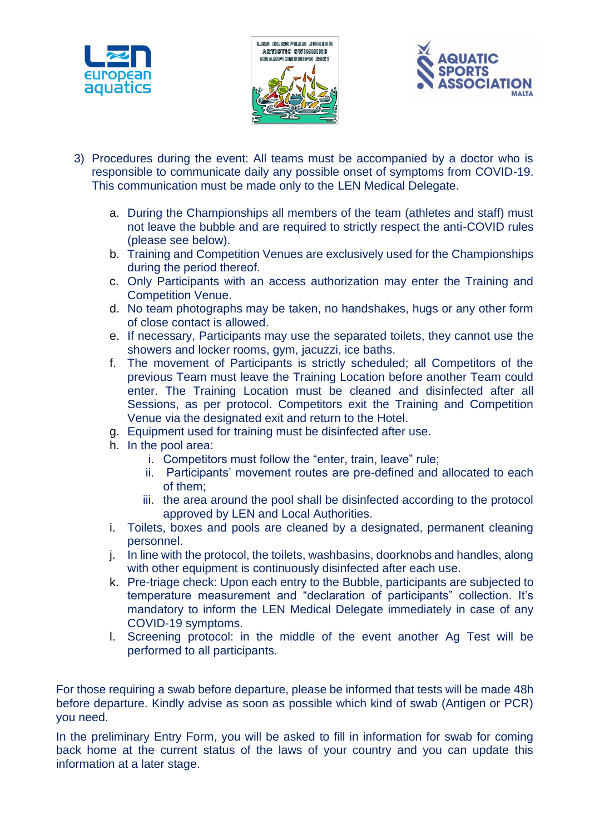





- 3) Procedures during the event: All teams must be accompanied by a doctor who is responsible to communicate daily any possible onset of symptoms from COVID-19. This communication must be made only to the LEN Medical Delegate.
	- a. During the Championships all members of the team (athletes and staff) must not leave the bubble and are required to strictly respect the anti-COVID rules (please see below).
	- b. Training and Competition Venues are exclusively used for the Championships during the period thereof.
	- c. Only Participants with an access authorization may enter the Training and Competition Venue.
	- d. No team photographs may be taken, no handshakes, hugs or any other form of close contact is allowed.
	- e. If necessary, Participants may use the separated toilets, they cannot use the showers and locker rooms, gym, jacuzzi, ice baths.
	- f. The movement of Participants is strictly scheduled; all Competitors of the previous Team must leave the Training Location before another Team could enter. The Training Location must be cleaned and disinfected after all Sessions, as per protocol. Competitors exit the Training and Competition Venue via the designated exit and return to the Hotel.
	- g. Equipment used for training must be disinfected after use.
	- h. In the pool area:
		- i. Competitors must follow the "enter, train, leave" rule;
		- ii. Participants' movement routes are pre-defined and allocated to each of them;
		- iii. the area around the pool shall be disinfected according to the protocol approved by LEN and Local Authorities.
	- i. Toilets, boxes and pools are cleaned by a designated, permanent cleaning personnel.
	- j. In line with the protocol, the toilets, washbasins, doorknobs and handles, along with other equipment is continuously disinfected after each use.
	- k. Pre-triage check: Upon each entry to the Bubble, participants are subjected to temperature measurement and "declaration of participants" collection. It's mandatory to inform the LEN Medical Delegate immediately in case of any COVID-19 symptoms.
	- l. Screening protocol: in the middle of the event another Ag Test will be performed to all participants.

For those requiring a swab before departure, please be informed that tests will be made 48h before departure. Kindly advise as soon as possible which kind of swab (Antigen or PCR) you need.

In the preliminary Entry Form, you will be asked to fill in information for swab for coming back home at the current status of the laws of your country and you can update this information at a later stage.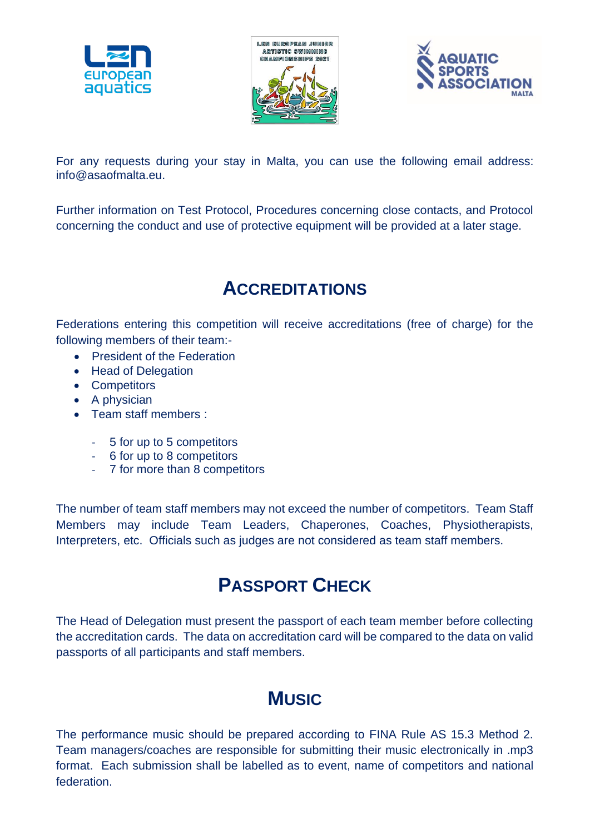





For any requests during your stay in Malta, you can use the following email address: info@asaofmalta.eu.

Further information on Test Protocol, Procedures concerning close contacts, and Protocol concerning the conduct and use of protective equipment will be provided at a later stage.

### **ACCREDITATIONS**

Federations entering this competition will receive accreditations (free of charge) for the following members of their team:-

- President of the Federation
- Head of Delegation
- Competitors
- A physician
- Team staff members :
	- 5 for up to 5 competitors
	- 6 for up to 8 competitors
	- 7 for more than 8 competitors

The number of team staff members may not exceed the number of competitors. Team Staff Members may include Team Leaders, Chaperones, Coaches, Physiotherapists, Interpreters, etc. Officials such as judges are not considered as team staff members.

### **PASSPORT CHECK**

The Head of Delegation must present the passport of each team member before collecting the accreditation cards. The data on accreditation card will be compared to the data on valid passports of all participants and staff members.

## **MUSIC**

The performance music should be prepared according to FINA Rule AS 15.3 Method 2. Team managers/coaches are responsible for submitting their music electronically in .mp3 format. Each submission shall be labelled as to event, name of competitors and national federation.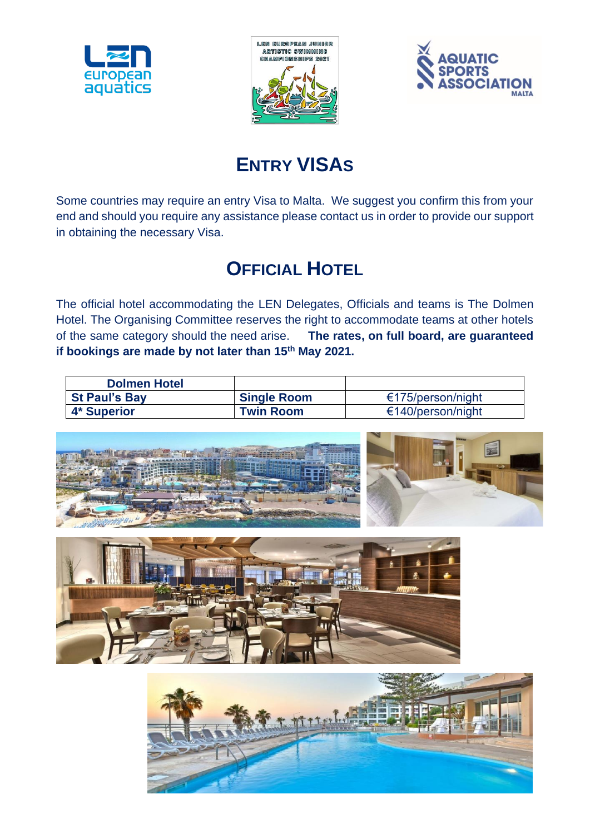





# **ENTRY VISAS**

Some countries may require an entry Visa to Malta. We suggest you confirm this from your end and should you require any assistance please contact us in order to provide our support in obtaining the necessary Visa.

## **OFFICIAL HOTEL**

The official hotel accommodating the LEN Delegates, Officials and teams is The Dolmen Hotel. The Organising Committee reserves the right to accommodate teams at other hotels of the same category should the need arise. **The rates, on full board, are guaranteed if bookings are made by not later than 15th May 2021.**

| <b>Dolmen Hotel</b>  |                    |                   |
|----------------------|--------------------|-------------------|
| <b>St Paul's Bay</b> | <b>Single Room</b> | €175/person/night |
| 4* Superior          | <b>Twin Room</b>   | €140/person/night |





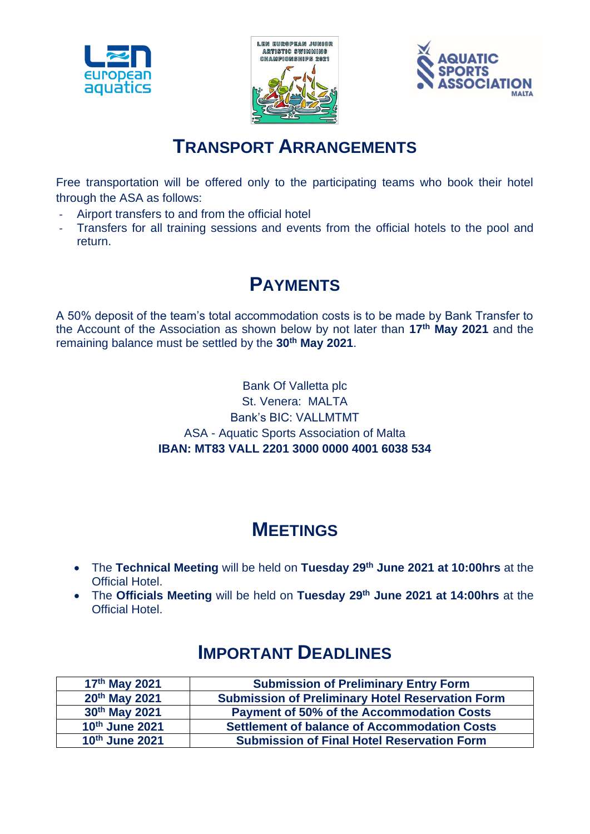





### **TRANSPORT ARRANGEMENTS**

Free transportation will be offered only to the participating teams who book their hotel through the ASA as follows:

- Airport transfers to and from the official hotel
- Transfers for all training sessions and events from the official hotels to the pool and return.

### **PAYMENTS**

A 50% deposit of the team's total accommodation costs is to be made by Bank Transfer to the Account of the Association as shown below by not later than **17 th May 2021** and the remaining balance must be settled by the **30th May 2021**.

> Bank Of Valletta plc St. Venera: MALTA Bank's BIC: VALLMTMT ASA - Aquatic Sports Association of Malta **IBAN: MT83 VALL 2201 3000 0000 4001 6038 534**

### **MEETINGS**

- The **Technical Meeting** will be held on **Tuesday 29th June 2021 at 10:00hrs** at the Official Hotel.
- The **Officials Meeting** will be held on **Tuesday 29th June 2021 at 14:00hrs** at the Official Hotel.

| $17th$ May 2021 | <b>Submission of Preliminary Entry Form</b>             |
|-----------------|---------------------------------------------------------|
| 20th May 2021   | <b>Submission of Preliminary Hotel Reservation Form</b> |
| 30th May 2021   | <b>Payment of 50% of the Accommodation Costs</b>        |
| 10th June 2021  | <b>Settlement of balance of Accommodation Costs</b>     |
| 10th June 2021  | <b>Submission of Final Hotel Reservation Form</b>       |

### **IMPORTANT DEADLINES**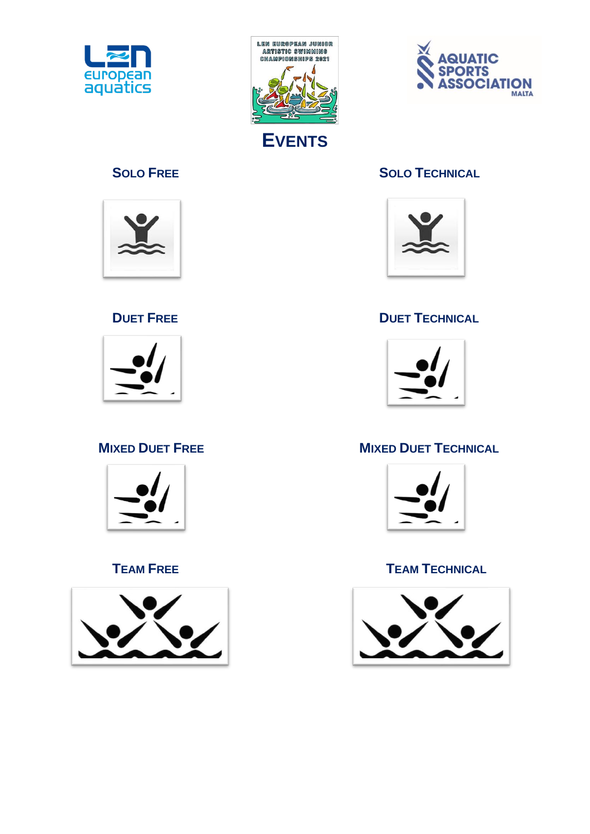













### **SOLO FREE SOLO TECHNICAL**



### **DUET FREE DUET TECHNICAL**



### **MIXED DUET FREE MIXED DUET TECHNICAL**



### **TEAM FREE TEAM TECHNICAL**

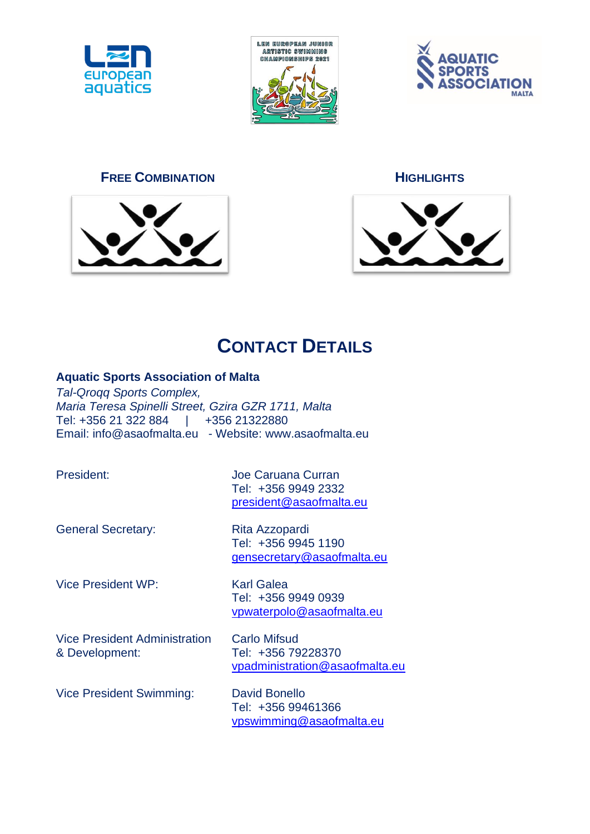





### **FREE COMBINATION HIGHLIGHTS**







## **CONTACT DETAILS**

### **Aquatic Sports Association of Malta**

*Tal-Qroqq Sports Complex, Maria Teresa Spinelli Street, Gzira GZR 1711, Malta* Tel: +356 21 322 884 | +356 21322880 Email: info@asaofmalta.eu - Website: www.asaofmalta.eu

President: Joe Caruana Curran Tel: +356 9949 2332 [president@asaofmalta.eu](mailto:president@asaofmalta.eu)

General Secretary: Rita Azzopardi

Tel: +356 9945 1190 [gensecretary@asaofmalta.eu](mailto:gensecretary@asaofmalta.eu)

Vice President WP: Karl Galea

Tel: +356 9949 0939 [vpwaterpolo@asaofmalta.eu](mailto:vpwaterpolo@asaofmalta.eu)

Vice President Administration Carlo Mifsud & Development: Tel: +356 79228370

[vpadministration@asaofmalta.eu](mailto:vpadministration@asaofmalta.eu)

Vice President Swimming: David Bonello

Tel: +356 99461366 [vpswimming@asaofmalta.eu](mailto:vpswimming@asaofmalta.eu)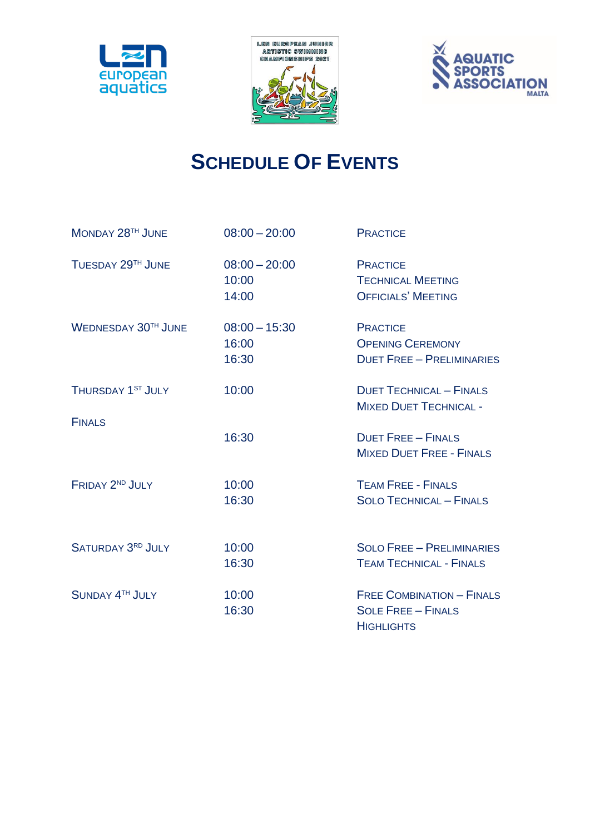





# **SCHEDULE OF EVENTS**

| MONDAY 28TH JUNE           | $08:00 - 20:00$                   | <b>PRACTICE</b>                                                                    |
|----------------------------|-----------------------------------|------------------------------------------------------------------------------------|
| TUESDAY 29TH JUNE          | $08:00 - 20:00$<br>10:00<br>14:00 | <b>PRACTICE</b><br><b>TECHNICAL MEETING</b><br><b>OFFICIALS' MEETING</b>           |
| <b>WEDNESDAY 30TH JUNE</b> | $08:00 - 15:30$<br>16:00<br>16:30 | <b>PRACTICE</b><br><b>OPENING CEREMONY</b><br><b>DUET FREE - PRELIMINARIES</b>     |
| THURSDAY 1ST JULY          | 10:00                             | <b>DUET TECHNICAL - FINALS</b><br><b>MIXED DUET TECHNICAL -</b>                    |
| <b>FINALS</b>              | 16:30                             | <b>DUET FREE - FINALS</b><br><b>MIXED DUET FREE - FINALS</b>                       |
| FRIDAY 2ND JULY            | 10:00<br>16:30                    | <b>TEAM FREE - FINALS</b><br><b>SOLO TECHNICAL - FINALS</b>                        |
| <b>SATURDAY 3RD JULY</b>   | 10:00<br>16:30                    | <b>SOLO FREE - PRELIMINARIES</b><br><b>TEAM TECHNICAL - FINALS</b>                 |
| SUNDAY 4TH JULY            | 10:00<br>16:30                    | <b>FREE COMBINATION - FINALS</b><br><b>SOLE FREE - FINALS</b><br><b>HIGHLIGHTS</b> |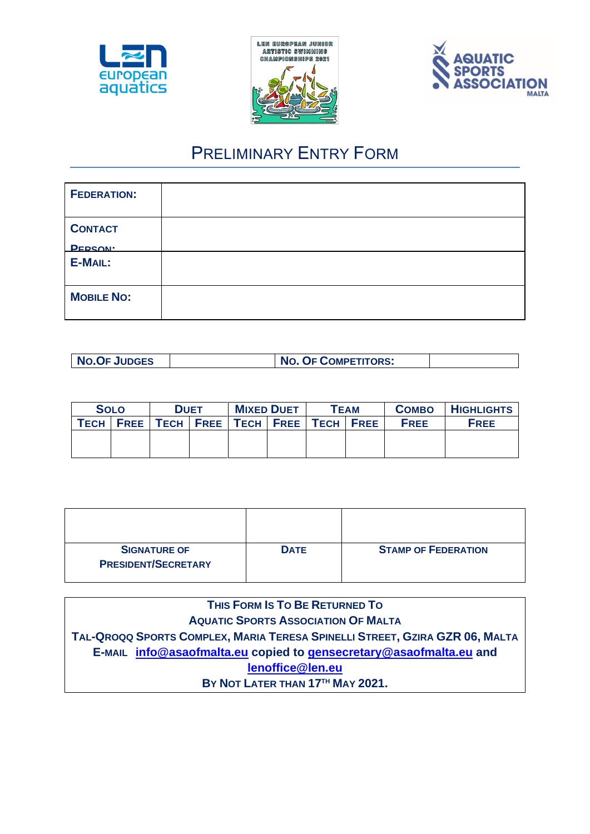





### PRELIMINARY ENTRY FORM

| <b>FEDERATION:</b> |  |
|--------------------|--|
| <b>CONTACT</b>     |  |
| <b>PERSON</b> :    |  |
| E-MAIL:            |  |
| <b>MOBILE NO:</b>  |  |

| <b>NO.OF JUDGES</b> | <b>NO. OF COMPETITORS:</b> |  |
|---------------------|----------------------------|--|
|---------------------|----------------------------|--|

| <b>SOLO</b> | <b>DUET</b>                                           | <b>MIXED DUET</b> | <b>TEAM</b> | <b>COMBO</b> | <b>HIGHLIGHTS</b> |
|-------------|-------------------------------------------------------|-------------------|-------------|--------------|-------------------|
|             | TECH   FREE   TECH   FREE   TECH   FREE   TECH   FREE |                   |             | <b>FREE</b>  | <b>FREE</b>       |
|             |                                                       |                   |             |              |                   |
|             |                                                       |                   |             |              |                   |

| <b>SIGNATURE OF</b><br><b>PRESIDENT/SECRETARY</b> | <b>DATE</b> | <b>STAMP OF FEDERATION</b> |
|---------------------------------------------------|-------------|----------------------------|

**THIS FORM IS TO BE RETURNED TO AQUATIC SPORTS ASSOCIATION OF MALTA**  TAL-QROQQ SPORTS COMPLEX, MARIA TERESA SPINELLI STREET, GZIRA GZR 06, MALTA **E-MAIL [info@asaofmalta.eu](mailto:info@asaofmalta.eu) copied to [gensecretary@asaofmalta.eu](mailto:gensecretary@asaofmalta.eu) and [lenoffice@len.eu](mailto:lenoffice@len.eu) BY NOT LATER THAN 17 TH MAY 2021.**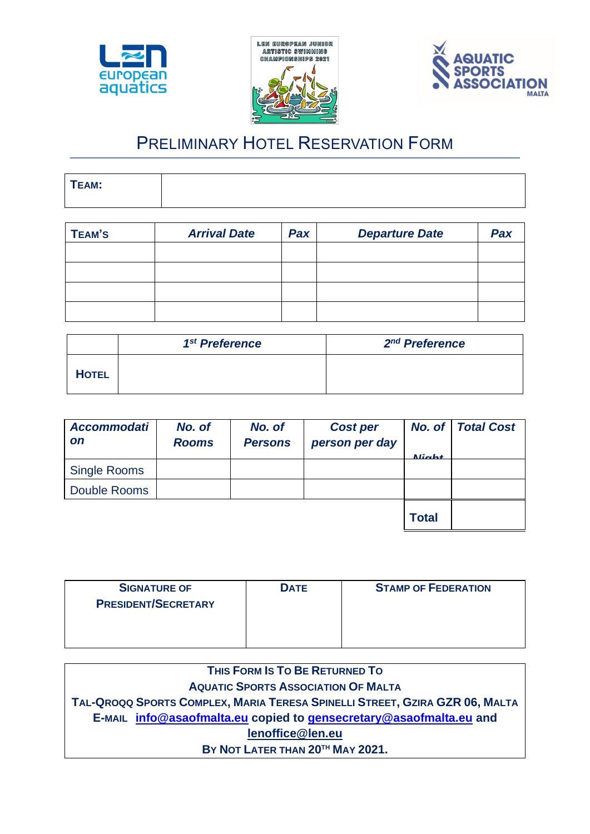





### PRELIMINARY HOTEL RESERVATION FORM

| TEAM: |  |
|-------|--|
|       |  |
|       |  |
|       |  |

| <b>TEAM'S</b> | <b>Arrival Date</b> | Pax | <b>Departure Date</b> | Pax |
|---------------|---------------------|-----|-----------------------|-----|
|               |                     |     |                       |     |
|               |                     |     |                       |     |
|               |                     |     |                       |     |
|               |                     |     |                       |     |

|              | 1 <sup>st</sup> Preference | 2 <sup>nd</sup> Preference |
|--------------|----------------------------|----------------------------|
| <b>HOTEL</b> |                            |                            |

| <b>Accommodati</b><br><b>on</b> | No. of<br><b>Rooms</b> | No. of<br><b>Persons</b> | <b>Cost per</b><br>person per day | No. of<br>$\mathbf{\mathsf{N}}$ inkt | <b>Total Cost</b> |
|---------------------------------|------------------------|--------------------------|-----------------------------------|--------------------------------------|-------------------|
| <b>Single Rooms</b>             |                        |                          |                                   |                                      |                   |
| Double Rooms                    |                        |                          |                                   |                                      |                   |
|                                 |                        |                          |                                   | <b>Total</b>                         |                   |

| <b>SIGNATURE OF</b>        | <b>DATE</b> | <b>STAMP OF FEDERATION</b> |
|----------------------------|-------------|----------------------------|
| <b>PRESIDENT/SECRETARY</b> |             |                            |
|                            |             |                            |
|                            |             |                            |
|                            |             |                            |

| THIS FORM IS TO BE RETURNED TO                                              |  |  |  |
|-----------------------------------------------------------------------------|--|--|--|
| <b>AQUATIC SPORTS ASSOCIATION OF MALTA</b>                                  |  |  |  |
| TAL-QROQQ SPORTS COMPLEX, MARIA TERESA SPINELLI STREET, GZIRA GZR 06, MALTA |  |  |  |
| E-MAIL info@asaofmalta.eu copied to gensecretary@asaofmalta.eu and          |  |  |  |
| lenoffice@len.eu                                                            |  |  |  |
| BY NOT LATER THAN 20TH MAY 2021.                                            |  |  |  |
|                                                                             |  |  |  |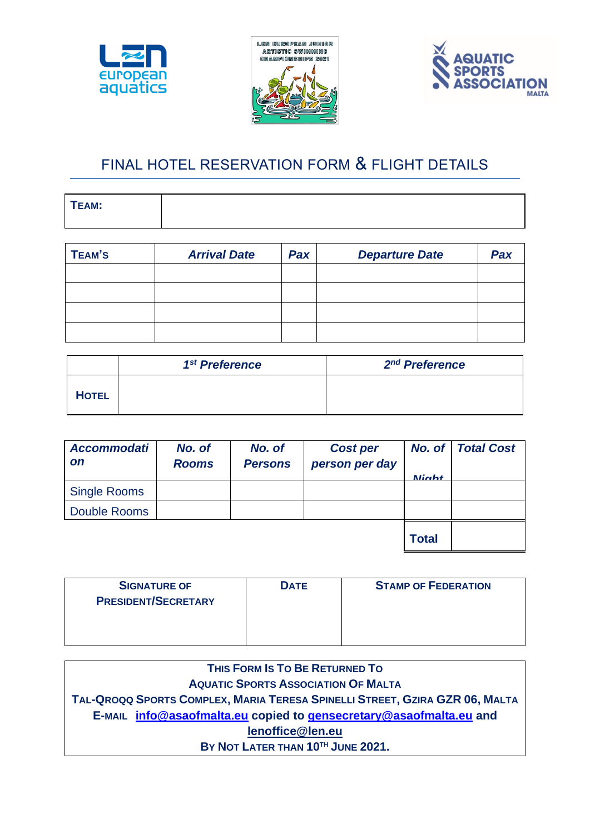





### FINAL HOTEL RESERVATION FORM & FLIGHT DETAILS

| TEAM: |  |
|-------|--|
|       |  |

| TEAM'S | <b>Arrival Date</b> | Pax | <b>Departure Date</b> | Pax |
|--------|---------------------|-----|-----------------------|-----|
|        |                     |     |                       |     |
|        |                     |     |                       |     |
|        |                     |     |                       |     |
|        |                     |     |                       |     |

|              | 1 <sup>st</sup> Preference | 2 <sup>nd</sup> Preference |
|--------------|----------------------------|----------------------------|
| <b>HOTEL</b> |                            |                            |

| <b>Accommodati</b><br><b>on</b> | No. of<br><b>Rooms</b> | No. of<br><b>Persons</b> | <b>Cost per</b><br>person per day | No. of $ $<br>Ninh+ | <b>Total Cost</b> |
|---------------------------------|------------------------|--------------------------|-----------------------------------|---------------------|-------------------|
| <b>Single Rooms</b>             |                        |                          |                                   |                     |                   |
| Double Rooms                    |                        |                          |                                   |                     |                   |
|                                 |                        |                          |                                   | <b>Total</b>        |                   |

| <b>SIGNATURE OF</b>        | <b>DATE</b> | <b>STAMP OF FEDERATION</b> |
|----------------------------|-------------|----------------------------|
| <b>PRESIDENT/SECRETARY</b> |             |                            |
|                            |             |                            |
|                            |             |                            |
|                            |             |                            |

| THIS FORM IS TO BE RETURNED TO                                              |  |  |  |
|-----------------------------------------------------------------------------|--|--|--|
| <b>AQUATIC SPORTS ASSOCIATION OF MALTA</b>                                  |  |  |  |
| TAL-QROQQ SPORTS COMPLEX, MARIA TERESA SPINELLI STREET, GZIRA GZR 06, MALTA |  |  |  |
| E-MAIL info@asaofmalta.eu copied to gensecretary@asaofmalta.eu and          |  |  |  |
| lenoffice@len.eu                                                            |  |  |  |
| BY NOT LATER THAN 10TH JUNE 2021.                                           |  |  |  |
|                                                                             |  |  |  |